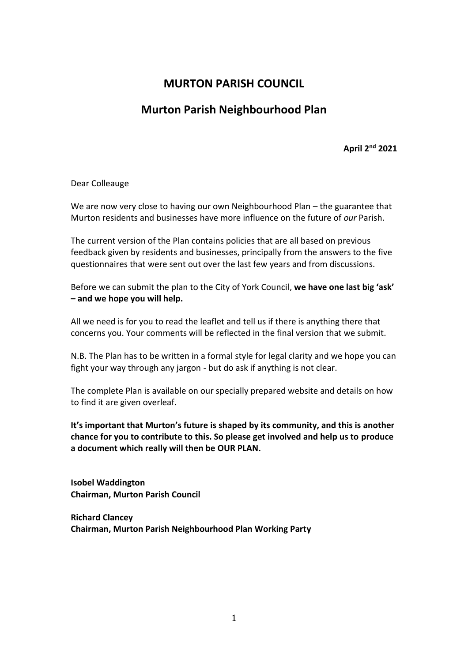## **MURTON PARISH COUNCIL**

# **Murton Parish Neighbourhood Plan**

**April 2nd 2021**

Dear Colleauge

We are now very close to having our own Neighbourhood Plan – the guarantee that Murton residents and businesses have more influence on the future of *our* Parish.

The current version of the Plan contains policies that are all based on previous feedback given by residents and businesses, principally from the answers to the five questionnaires that were sent out over the last few years and from discussions.

Before we can submit the plan to the City of York Council, **we have one last big 'ask' – and we hope you will help.** 

All we need is for you to read the leaflet and tell us if there is anything there that concerns you. Your comments will be reflected in the final version that we submit.

N.B. The Plan has to be written in a formal style for legal clarity and we hope you can fight your way through any jargon - but do ask if anything is not clear.

The complete Plan is available on our specially prepared website and details on how to find it are given overleaf.

**It's important that Murton's future is shaped by its community, and this is another chance for you to contribute to this. So please get involved and help us to produce a document which really will then be OUR PLAN.**

**Isobel Waddington Chairman, Murton Parish Council**

**Richard Clancey Chairman, Murton Parish Neighbourhood Plan Working Party**